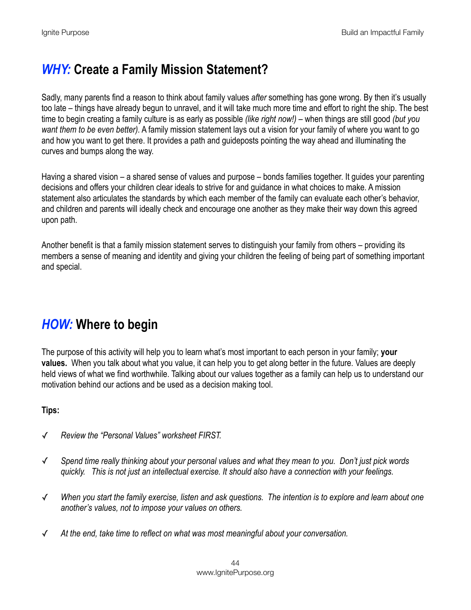## *WHY:* **Create a Family Mission Statement?**

Sadly, many parents find a reason to think about family values *after* something has gone wrong. By then it's usually too late – things have already begun to unravel, and it will take much more time and effort to right the ship. The best time to begin creating a family culture is as early as possible *(like right now!)* – when things are still good *(but you want them to be even better).* A family mission statement lays out a vision for your family of where you want to go and how you want to get there. It provides a path and guideposts pointing the way ahead and illuminating the curves and bumps along the way.

Having a shared vision – a shared sense of values and purpose – bonds families together. It guides your parenting decisions and offers your children clear ideals to strive for and guidance in what choices to make. A mission statement also articulates the standards by which each member of the family can evaluate each other's behavior, and children and parents will ideally check and encourage one another as they make their way down this agreed upon path.

Another benefit is that a family mission statement serves to distinguish your family from others – providing its members a sense of meaning and identity and giving your children the feeling of being part of something important and special.

# *HOW:* **Where to begin**

The purpose of this activity will help you to learn what's most important to each person in your family; **your values.** When you talk about what you value, it can help you to get along better in the future. Values are deeply held views of what we find worthwhile. Talking about our values together as a family can help us to understand our motivation behind our actions and be used as a decision making tool.

#### **Tips:**

- ✓ *Review the "Personal Values" worksheet FIRST.*
- ✓ *Spend time really thinking about your personal values and what they mean to you. Don't just pick words quickly. This is not just an intellectual exercise. It should also have a connection with your feelings.*
- ✓ *When you start the family exercise, listen and ask questions. The intention is to explore and learn about one another's values, not to impose your values on others.*
- ✓ *At the end, take time to reflect on what was most meaningful about your conversation.*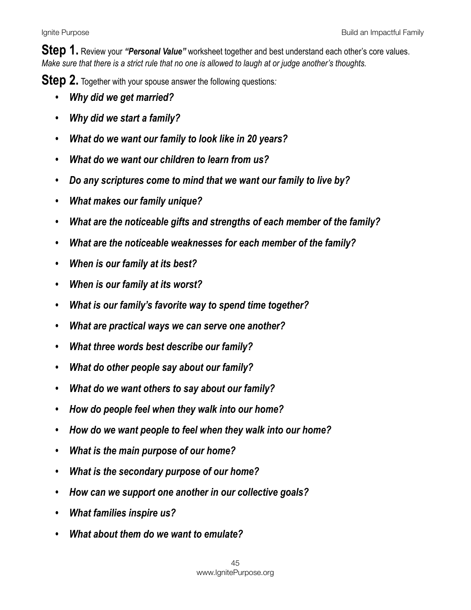**Step 1.** Review your *"Personal Value"* worksheet together and best understand each other's core values. *Make sure that there is a strict rule that no one is allowed to laugh at or judge another's thoughts.* 

**Step 2.** Together with your spouse answer the following questions*:*

- *• Why did we get married?*
- *• Why did we start a family?*
- *• What do we want our family to look like in 20 years?*
- *• What do we want our children to learn from us?*
- *• Do any scriptures come to mind that we want our family to live by?*
- *• What makes our family unique?*
- *• What are the noticeable gifts and strengths of each member of the family?*
- *• What are the noticeable weaknesses for each member of the family?*
- *• When is our family at its best?*
- *• When is our family at its worst?*
- *• What is our family's favorite way to spend time together?*
- *• What are practical ways we can serve one another?*
- *• What three words best describe our family?*
- *• What do other people say about our family?*
- *• What do we want others to say about our family?*
- *• How do people feel when they walk into our home?*
- *• How do we want people to feel when they walk into our home?*
- *• What is the main purpose of our home?*
- *• What is the secondary purpose of our home?*
- *• How can we support one another in our collective goals?*
- *• What families inspire us?*
- *• What about them do we want to emulate?*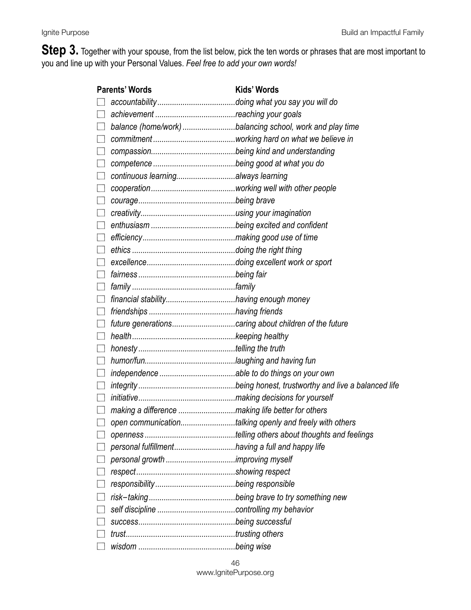**Step 3.** Together with your spouse, from the list below, pick the ten words or phrases that are most important to you and line up with your Personal Values. *Feel free to add your own words!*

| <b>Parents' Words</b>                 |                                                  | Kids' Words                                              |
|---------------------------------------|--------------------------------------------------|----------------------------------------------------------|
|                                       |                                                  |                                                          |
|                                       |                                                  |                                                          |
|                                       |                                                  | balance (home/work) balancing school, work and play time |
|                                       |                                                  |                                                          |
|                                       |                                                  |                                                          |
|                                       |                                                  |                                                          |
|                                       | continuous learningalways learning               |                                                          |
|                                       |                                                  |                                                          |
|                                       |                                                  |                                                          |
|                                       |                                                  |                                                          |
|                                       |                                                  |                                                          |
|                                       |                                                  |                                                          |
|                                       |                                                  |                                                          |
|                                       |                                                  |                                                          |
|                                       |                                                  |                                                          |
|                                       |                                                  |                                                          |
|                                       |                                                  |                                                          |
| $\Box$                                |                                                  |                                                          |
|                                       |                                                  |                                                          |
|                                       |                                                  |                                                          |
|                                       |                                                  |                                                          |
|                                       |                                                  |                                                          |
| $\Box$                                |                                                  |                                                          |
| $\begin{array}{c} \hline \end{array}$ |                                                  |                                                          |
|                                       |                                                  |                                                          |
|                                       |                                                  |                                                          |
|                                       |                                                  | open communicationtalking openly and freely with others  |
|                                       |                                                  |                                                          |
|                                       | personal fulfillmenthaving a full and happy life |                                                          |
|                                       |                                                  |                                                          |
|                                       |                                                  |                                                          |
|                                       |                                                  |                                                          |
|                                       |                                                  |                                                          |
|                                       |                                                  |                                                          |
|                                       |                                                  |                                                          |
|                                       |                                                  |                                                          |
|                                       |                                                  |                                                          |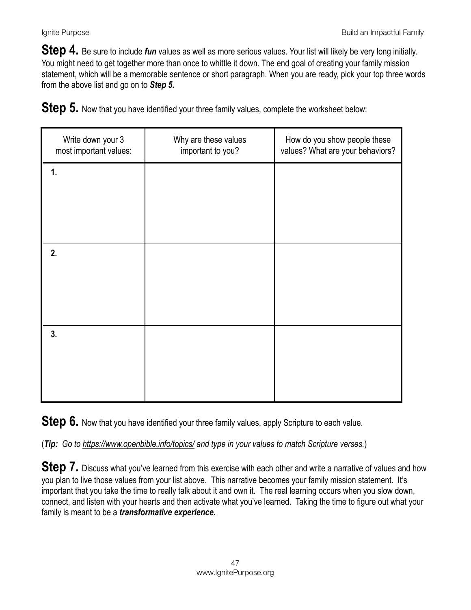**Step 4.** Be sure to include *fun* values as well as more serious values. Your list will likely be very long initially. You might need to get together more than once to whittle it down. The end goal of creating your family mission statement, which will be a memorable sentence or short paragraph. When you are ready, pick your top three words from the above list and go on to *Step 5.* 

**Step 5.** Now that you have identified your three family values, complete the worksheet below:

| Write down your 3<br>most important values: | Why are these values<br>important to you? | How do you show people these<br>values? What are your behaviors? |
|---------------------------------------------|-------------------------------------------|------------------------------------------------------------------|
| 1.                                          |                                           |                                                                  |
|                                             |                                           |                                                                  |
| 2.                                          |                                           |                                                                  |
|                                             |                                           |                                                                  |
| 3.                                          |                                           |                                                                  |
|                                             |                                           |                                                                  |

**Step 6.** Now that you have identified your three family values, apply Scripture to each value.

(*Tip: Go to<https://www.openbible.info/topics/>and type in your values to match Scripture verses.*)

**Step 7.** Discuss what you've learned from this exercise with each other and write a narrative of values and how you plan to live those values from your list above. This narrative becomes your family mission statement. It's important that you take the time to really talk about it and own it. The real learning occurs when you slow down, connect, and listen with your hearts and then activate what you've learned. Taking the time to figure out what your family is meant to be a *transformative experience.*